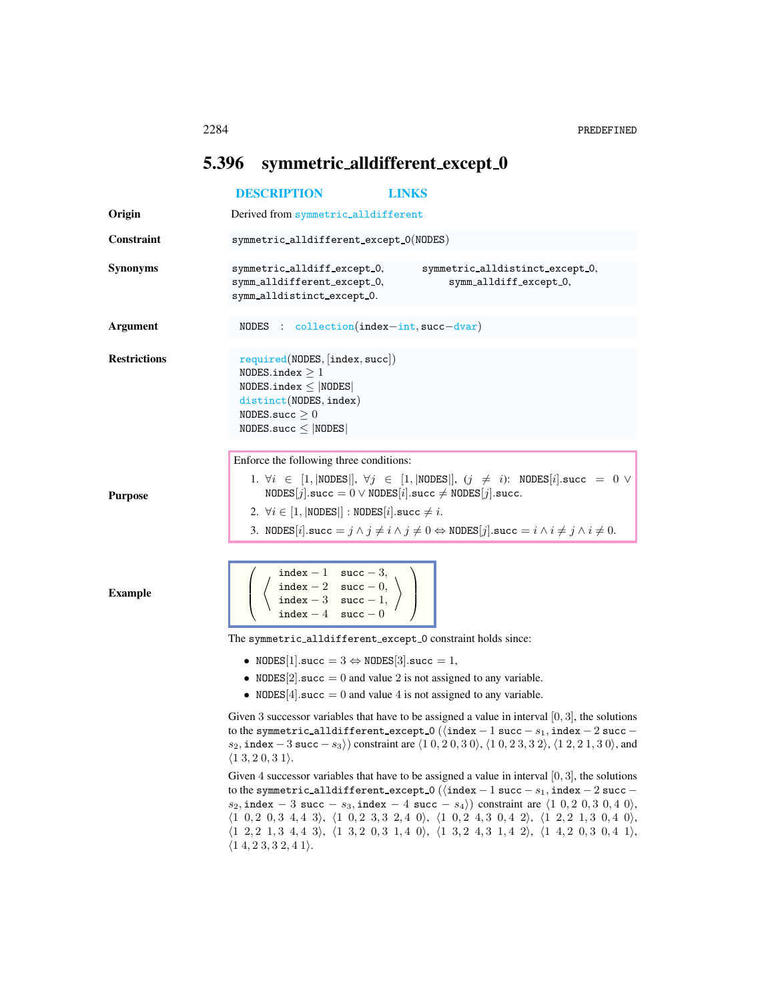## <span id="page-0-0"></span>5.396 symmetric\_alldifferent\_except\_0

|                     | <b>DESCRIPTION</b><br><b>LINKS</b>                                                                                                                                                                                                                                                                                                                                                                                                                                                                                                                                                                                                                                                                                                              |
|---------------------|-------------------------------------------------------------------------------------------------------------------------------------------------------------------------------------------------------------------------------------------------------------------------------------------------------------------------------------------------------------------------------------------------------------------------------------------------------------------------------------------------------------------------------------------------------------------------------------------------------------------------------------------------------------------------------------------------------------------------------------------------|
| Origin              | Derived from symmetric_alldifferent                                                                                                                                                                                                                                                                                                                                                                                                                                                                                                                                                                                                                                                                                                             |
| <b>Constraint</b>   | symmetric_alldifferent_except_0(NODES)                                                                                                                                                                                                                                                                                                                                                                                                                                                                                                                                                                                                                                                                                                          |
| <b>Synonyms</b>     | symmetric_alldiff_except_0,<br>symmetric_alldistinct_except_0,<br>symm_alldifferent_except_0,<br>symm_alldiff_except_0,<br>symm_alldistinct_except_0.                                                                                                                                                                                                                                                                                                                                                                                                                                                                                                                                                                                           |
| <b>Argument</b>     | NODES : $\text{collection}(\text{index} - \text{int}, \text{succ} - \text{dvar})$                                                                                                                                                                                                                                                                                                                                                                                                                                                                                                                                                                                                                                                               |
| <b>Restrictions</b> | required(NODES, [index, succ])<br>NODES.index $\geq 1$<br>NODES.index $\leq$  NODES <br>distinct(NODES, index)<br>NODES.succ $\geq 0$<br>NODES.succ $\leq$ NODES                                                                                                                                                                                                                                                                                                                                                                                                                                                                                                                                                                                |
| <b>Purpose</b>      | Enforce the following three conditions:<br>1. $\forall i \in [1,  \text{NODES} ], \forall j \in [1,  \text{NODES} ], (j \neq i)$ : $\text{NODES}[i].\text{succ} = 0 \lor$<br>NODES $[j]$ succ = 0 $\vee$ NODES $[i]$ succ $\neq$ NODES $[j]$ succ.<br>2. $\forall i \in [1,   \text{NODES}  ]$ : NODES $[i]$ . succ $\neq i$ .<br>3. NODES [i]. succ = $j \wedge j \neq i \wedge j \neq 0 \Leftrightarrow$ NODES [j]. succ = $i \wedge i \neq j \wedge i \neq 0$ .                                                                                                                                                                                                                                                                              |
| <b>Example</b>      | $\left\{\n\begin{array}{c}\n\text{index } -1 \quad \text{succ } -3, \\ \text{index } -2 \quad \text{succ } -0, \\ \text{index } -3 \quad \text{succ } -1, \\ \text{index } -4 \quad \text{succ } 0. \\ \end{array}\n\right\}$                                                                                                                                                                                                                                                                                                                                                                                                                                                                                                                   |
|                     | The symmetric_alldifferent_except_0 constraint holds since:                                                                                                                                                                                                                                                                                                                                                                                                                                                                                                                                                                                                                                                                                     |
|                     | • NODES[1].succ = $3 \Leftrightarrow$ NODES[3].succ = 1,<br>• NODES[2] succ = 0 and value 2 is not assigned to any variable.<br>• NODES[4] succ = 0 and value 4 is not assigned to any variable.                                                                                                                                                                                                                                                                                                                                                                                                                                                                                                                                                |
|                     | Given 3 successor variables that have to be assigned a value in interval $[0,3]$ , the solutions<br>to the symmetric_alldifferent_except_0 ( $\langle$ index - 1 succ - $s_1$ , index - 2 succ -<br>$s_2$ , index $-3$ succ $-s_3$ ) constraint are $\langle 10, 20, 30 \rangle$ , $\langle 10, 23, 32 \rangle$ , $\langle 12, 21, 30 \rangle$ , and<br>$\langle 1\,3, 2\,0, 3\,1 \rangle.$                                                                                                                                                                                                                                                                                                                                                     |
|                     | Given 4 successor variables that have to be assigned a value in interval $[0,3]$ , the solutions<br>to the symmetric_alldifferent_except_0 ( $\langle$ index - 1 succ - $s_1$ , index - 2 succ -<br>$s_2$ , index - 3 succ - $s_3$ , index - 4 succ - $s_4$ ) constraint are $\langle 1 \; 0, 2 \; 0, 3 \; 0, 4 \; 0 \rangle$ ,<br>$\langle 1 \t0, 2 \t0, 3 \t4, 4 \t3 \rangle$ , $\langle 1 \t0, 2 \t3, 3 \t2, 4 \t0 \rangle$ , $\langle 1 \t0, 2 \t4, 3 \t0, 4 \t2 \rangle$ , $\langle 1 \t2, 2 \t1, 3 \t0, 4 \t0 \rangle$ ,<br>$\langle 1\ 2, 2\ 1, 3\ 4, 4\ 3 \rangle, \ \langle 1\ 3, 2\ 0, 3\ 1, 4\ 0 \rangle, \ \langle 1\ 3, 2\ 4, 3\ 1, 4\ 2 \rangle, \ \langle 1\ 4, 2\ 0, 3\ 0, 4\ 1 \rangle,$<br>$\langle 14, 23, 32, 41 \rangle$ . |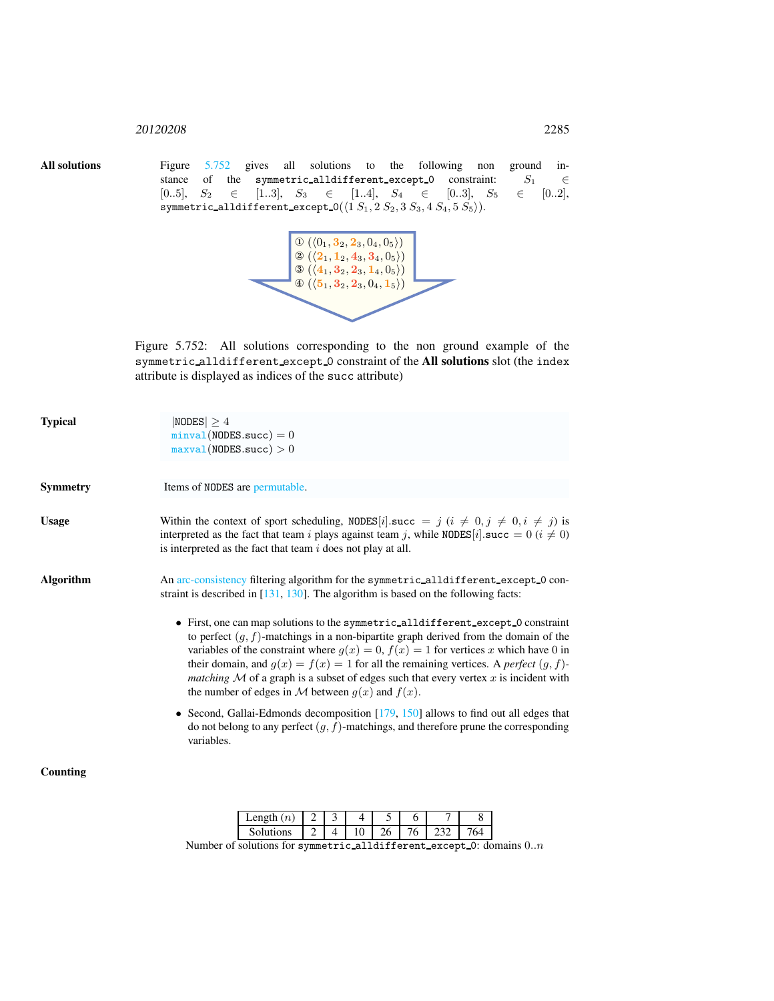## <sup>20120208</sup> 2285

All solutions Figure [5.752](#page-1-0) gives all solutions to the following non ground instance of the symmetric\_alldifferent\_except\_0 constraint:  $S_1$   $\in$  $[0..5], S_2 \in [1..3], S_3 \in [1..4], S_4 \in [0..3], S_5 \in [0..2],$  $\verb|symmetric_a11 different\_except_0(\langle 1\,S_1, 2\,S_2, 3\,S_3, 4\,S_4, 5\,S_5 \rangle).$ 



<span id="page-1-0"></span>Figure 5.752: All solutions corresponding to the non ground example of the symmetric alldifferent except 0 constraint of the All solutions slot (the index attribute is displayed as indices of the succ attribute)

| <b>Typical</b>   | $ NODES  \geq 4$<br>$minval(NODES.succ) = 0$<br>maxval(NODES.succ) > 0                                                                                                                                                                                                                                                                                                                                                                                                                                                               |
|------------------|--------------------------------------------------------------------------------------------------------------------------------------------------------------------------------------------------------------------------------------------------------------------------------------------------------------------------------------------------------------------------------------------------------------------------------------------------------------------------------------------------------------------------------------|
| <b>Symmetry</b>  | Items of NODES are permutable.                                                                                                                                                                                                                                                                                                                                                                                                                                                                                                       |
| <b>Usage</b>     | Within the context of sport scheduling, NODES [i] succ = j (i $\neq$ 0, j $\neq$ 0, i $\neq$ j) is<br>interpreted as the fact that team <i>i</i> plays against team <i>j</i> , while NODES[ <i>i</i> ].succ = 0 ( $i \neq 0$ )<br>is interpreted as the fact that team $i$ does not play at all.                                                                                                                                                                                                                                     |
| <b>Algorithm</b> | An arc-consistency filtering algorithm for the symmetric_alldifferent_except_0 con-<br>straint is described in $[131, 130]$ . The algorithm is based on the following facts:                                                                                                                                                                                                                                                                                                                                                         |
|                  | • First, one can map solutions to the symmetric_alldifferent_except_0 constraint<br>to perfect $(g, f)$ -matchings in a non-bipartite graph derived from the domain of the<br>variables of the constraint where $g(x) = 0$ , $f(x) = 1$ for vertices x which have 0 in<br>their domain, and $g(x) = f(x) = 1$ for all the remaining vertices. A <i>perfect</i> $(g, f)$ -<br><i>matching</i> $M$ of a graph is a subset of edges such that every vertex $x$ is incident with<br>the number of edges in M between $g(x)$ and $f(x)$ . |
|                  | • Second, Gallai-Edmonds decomposition $[179, 150]$ allows to find out all edges that<br>do not belong to any perfect $(g, f)$ -matchings, and therefore prune the corresponding<br>variables.                                                                                                                                                                                                                                                                                                                                       |
| Counting         |                                                                                                                                                                                                                                                                                                                                                                                                                                                                                                                                      |
|                  | 7<br>8<br>2<br>3<br>5<br>Length $(n)$<br>4<br>6                                                                                                                                                                                                                                                                                                                                                                                                                                                                                      |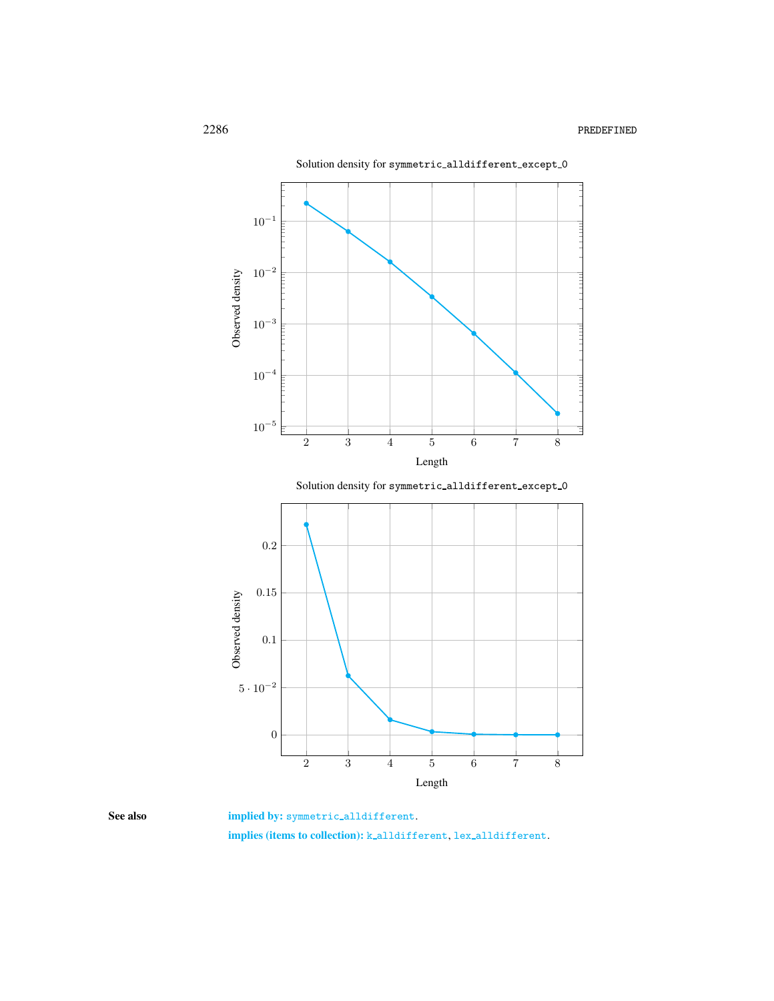

<span id="page-2-0"></span>

See also implied by: symmetric\_alldifferent.

implies (items to collection): k alldifferent, lex alldifferent.